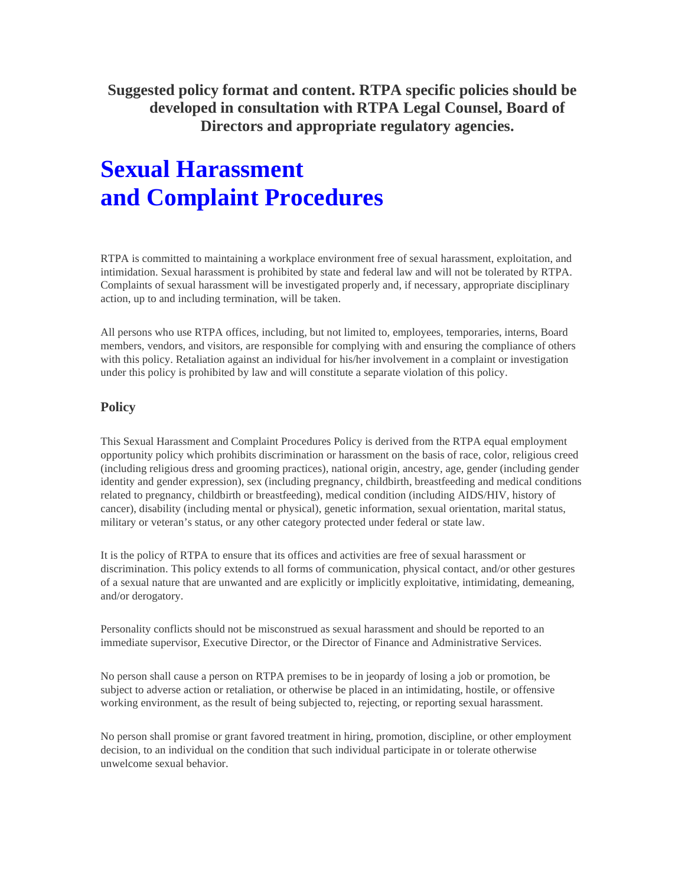**Suggested policy format and content. RTPA specific policies should be developed in consultation with RTPA Legal Counsel, Board of Directors and appropriate regulatory agencies.** 

# **Sexual Harassment and Complaint Procedures**

RTPA is committed to maintaining a workplace environment free of sexual harassment, exploitation, and intimidation. Sexual harassment is prohibited by state and federal law and will not be tolerated by RTPA. Complaints of sexual harassment will be investigated properly and, if necessary, appropriate disciplinary action, up to and including termination, will be taken.

All persons who use RTPA offices, including, but not limited to, employees, temporaries, interns, Board members, vendors, and visitors, are responsible for complying with and ensuring the compliance of others with this policy. Retaliation against an individual for his/her involvement in a complaint or investigation under this policy is prohibited by law and will constitute a separate violation of this policy.

# **Policy**

This Sexual Harassment and Complaint Procedures Policy is derived from the RTPA equal employment opportunity policy which prohibits discrimination or harassment on the basis of race, color, religious creed (including religious dress and grooming practices), national origin, ancestry, age, gender (including gender identity and gender expression), sex (including pregnancy, childbirth, breastfeeding and medical conditions related to pregnancy, childbirth or breastfeeding), medical condition (including AIDS/HIV, history of cancer), disability (including mental or physical), genetic information, sexual orientation, marital status, military or veteran's status, or any other category protected under federal or state law.

It is the policy of RTPA to ensure that its offices and activities are free of sexual harassment or discrimination. This policy extends to all forms of communication, physical contact, and/or other gestures of a sexual nature that are unwanted and are explicitly or implicitly exploitative, intimidating, demeaning, and/or derogatory.

Personality conflicts should not be misconstrued as sexual harassment and should be reported to an immediate supervisor, Executive Director, or the Director of Finance and Administrative Services.

No person shall cause a person on RTPA premises to be in jeopardy of losing a job or promotion, be subject to adverse action or retaliation, or otherwise be placed in an intimidating, hostile, or offensive working environment, as the result of being subjected to, rejecting, or reporting sexual harassment.

No person shall promise or grant favored treatment in hiring, promotion, discipline, or other employment decision, to an individual on the condition that such individual participate in or tolerate otherwise unwelcome sexual behavior.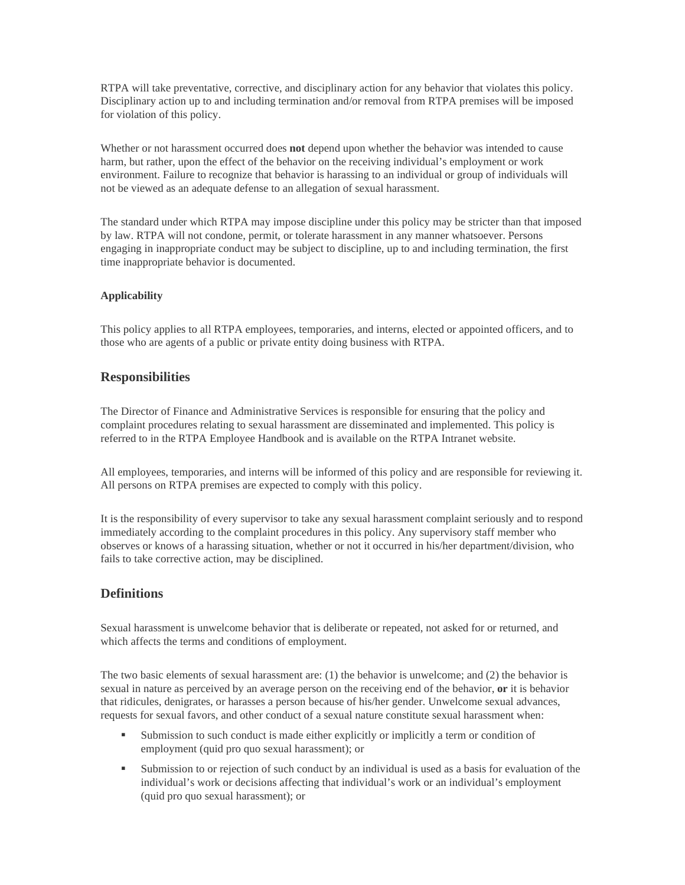RTPA will take preventative, corrective, and disciplinary action for any behavior that violates this policy. Disciplinary action up to and including termination and/or removal from RTPA premises will be imposed for violation of this policy.

Whether or not harassment occurred does **not** depend upon whether the behavior was intended to cause harm, but rather, upon the effect of the behavior on the receiving individual's employment or work environment. Failure to recognize that behavior is harassing to an individual or group of individuals will not be viewed as an adequate defense to an allegation of sexual harassment.

The standard under which RTPA may impose discipline under this policy may be stricter than that imposed by law. RTPA will not condone, permit, or tolerate harassment in any manner whatsoever. Persons engaging in inappropriate conduct may be subject to discipline, up to and including termination, the first time inappropriate behavior is documented.

#### **Applicability**

This policy applies to all RTPA employees, temporaries, and interns, elected or appointed officers, and to those who are agents of a public or private entity doing business with RTPA.

### **Responsibilities**

The Director of Finance and Administrative Services is responsible for ensuring that the policy and complaint procedures relating to sexual harassment are disseminated and implemented. This policy is referred to in the RTPA Employee Handbook and is available on the RTPA Intranet website.

All employees, temporaries, and interns will be informed of this policy and are responsible for reviewing it. All persons on RTPA premises are expected to comply with this policy.

It is the responsibility of every supervisor to take any sexual harassment complaint seriously and to respond immediately according to the complaint procedures in this policy. Any supervisory staff member who observes or knows of a harassing situation, whether or not it occurred in his/her department/division, who fails to take corrective action, may be disciplined.

# **Definitions**

Sexual harassment is unwelcome behavior that is deliberate or repeated, not asked for or returned, and which affects the terms and conditions of employment.

The two basic elements of sexual harassment are: (1) the behavior is unwelcome; and (2) the behavior is sexual in nature as perceived by an average person on the receiving end of the behavior, **or** it is behavior that ridicules, denigrates, or harasses a person because of his/her gender. Unwelcome sexual advances, requests for sexual favors, and other conduct of a sexual nature constitute sexual harassment when:

- Submission to such conduct is made either explicitly or implicitly a term or condition of employment (quid pro quo sexual harassment); or
- Submission to or rejection of such conduct by an individual is used as a basis for evaluation of the individual's work or decisions affecting that individual's work or an individual's employment (quid pro quo sexual harassment); or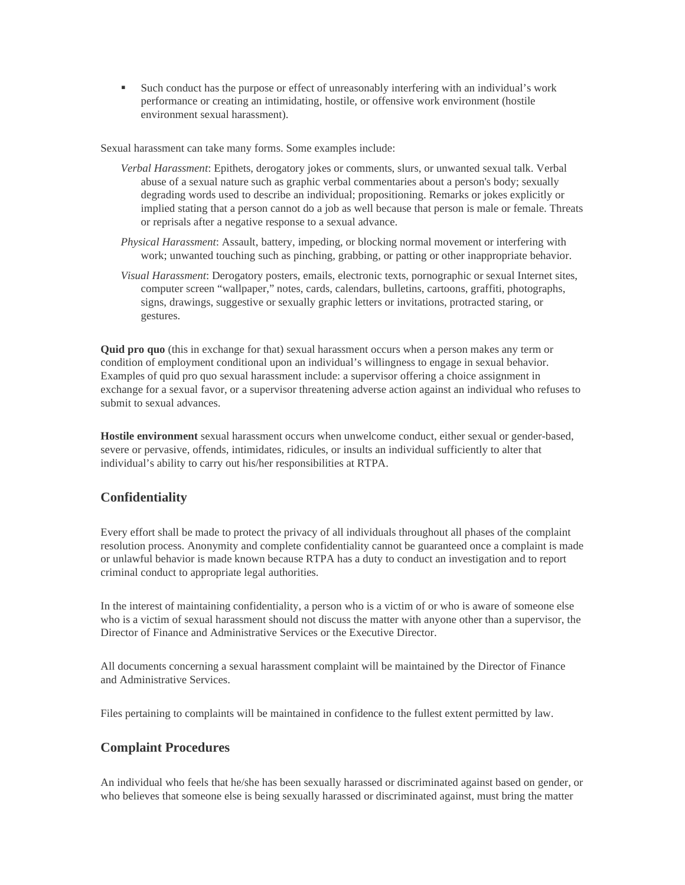Such conduct has the purpose or effect of unreasonably interfering with an individual's work performance or creating an intimidating, hostile, or offensive work environment (hostile environment sexual harassment).

Sexual harassment can take many forms. Some examples include:

- *Verbal Harassment*: Epithets, derogatory jokes or comments, slurs, or unwanted sexual talk. Verbal abuse of a sexual nature such as graphic verbal commentaries about a person's body; sexually degrading words used to describe an individual; propositioning. Remarks or jokes explicitly or implied stating that a person cannot do a job as well because that person is male or female. Threats or reprisals after a negative response to a sexual advance.
- *Physical Harassment*: Assault, battery, impeding, or blocking normal movement or interfering with work; unwanted touching such as pinching, grabbing, or patting or other inappropriate behavior.
- *Visual Harassment*: Derogatory posters, emails, electronic texts, pornographic or sexual Internet sites, computer screen "wallpaper," notes, cards, calendars, bulletins, cartoons, graffiti, photographs, signs, drawings, suggestive or sexually graphic letters or invitations, protracted staring, or gestures.

**Quid pro quo** (this in exchange for that) sexual harassment occurs when a person makes any term or condition of employment conditional upon an individual's willingness to engage in sexual behavior. Examples of quid pro quo sexual harassment include: a supervisor offering a choice assignment in exchange for a sexual favor, or a supervisor threatening adverse action against an individual who refuses to submit to sexual advances.

**Hostile environment** sexual harassment occurs when unwelcome conduct, either sexual or gender-based, severe or pervasive, offends, intimidates, ridicules, or insults an individual sufficiently to alter that individual's ability to carry out his/her responsibilities at RTPA.

# **Confidentiality**

Every effort shall be made to protect the privacy of all individuals throughout all phases of the complaint resolution process. Anonymity and complete confidentiality cannot be guaranteed once a complaint is made or unlawful behavior is made known because RTPA has a duty to conduct an investigation and to report criminal conduct to appropriate legal authorities.

In the interest of maintaining confidentiality, a person who is a victim of or who is aware of someone else who is a victim of sexual harassment should not discuss the matter with anyone other than a supervisor, the Director of Finance and Administrative Services or the Executive Director.

All documents concerning a sexual harassment complaint will be maintained by the Director of Finance and Administrative Services.

Files pertaining to complaints will be maintained in confidence to the fullest extent permitted by law.

# **Complaint Procedures**

An individual who feels that he/she has been sexually harassed or discriminated against based on gender, or who believes that someone else is being sexually harassed or discriminated against, must bring the matter